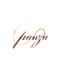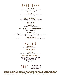## APPETIZER

#### FRIED CALAMARI cherry peppers, red onions, spicy aioli small 13 | large 16

#### BURRATA 15

cream filled fresh mozzarella served over a tomato salad with basil and EVOO

#### GRILLED ITALIAN GREENS 12

escarole, radicchio, baby arugula, crispy polenta, gorgonzola sauce, balsamic drizzle

#### GARLIC BREAD 6

MUSSELS 16 red, white or fra diavolo sauce

#### WILD MUSHROOM & GOAT CHEESE SPRING ROLL 12

honey thyme sauce

#### BRUSCHETTA 11

grilled garlic toast topped with marinated tomatoes, red onion, crumbled goat cheese, balsamic reduction

PANZA SPARE RIBS 13 slow-braised spare ribs with sweet Sicilian BBQ sauce

## S A L A D

HOUSE SALAD 6 mixed greens, sherry vinaigrette

### CAESAR SALAD\* 7

CAPRESE 12 fried tomato, fresh mozzarella, basil oil

#### ITALIAN CHOP SALAD ( FOR TWO) 16

imported Italian meats and cheeses, pepperoncini, red onion, artichoke hearts, crispy pancetta, chopped romaine

SIDE GRILLED ASPARAGUS 8 GRILLED VEGETABLES 8 HOMEMADE MEATBALLS 8

Before placing your order, please inform your server if a person in your party has a food allergy. Consuming raw or undercooked meats, poultry, seafood, shellfish or eggs may increase your risk of foodbourne illness. \*Homemade caesar dressing is made with raw eggs.\*These items are cooked to order or contain raw ingredients.Max 2 credit cards per table. Parties of 6+ an 18% gratuity will be added. \$7 split plate charge added when sharing an entree.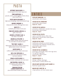## PASTA

BUTTERNUT SQUASH RAVIOLI 19 roasted squash, brown butter sage sauce

PENNE AMATRICIANA 19 pancetta, onions, roasted eggplant, fontina cheese, plum tomato sauce

POTATO GNOCCHI BOLOGNESE 19 light potato dumplings, classic beef and pork ragu

LINGUINE CARBONARA 19 crispy pancetta, onions, silky egg cheese sauce

BAKED ZITI 19 meatballs, plum tomato ricotta sauce

PENNE WITH CHICKEN & BROCCOLI 20 garlic cream sauce

LINGUINE & LITTLENECK CLAMS 24 red, white or fra diavolo

LINGUINE ALLA PESCATORE 27 shrimp, scallops, mussels, clams and calamari in a red, white or fra diavolo sauce

#### "FREE FORM" LASAGNA 21 black pepper pasta sheets, chicken, mushrooms,

spinach, plum tomato ricotta sauce LOBSTER RAVIOLI 23

scallions, diced tomatoes, dijon cream sauce

BEEF & VEAL TORTELLONI 20 wild mushrooms, baby spinach, shallot, veal stock reduction

SPINACH & RICOTTA RAVIOLI 19 sun dried tomato, toasted pine nut cream sauce

> BABY RIGATONI & SAUSAGE 20 red peppers, onion, plum tomato, crumbled goat cheese

#### TARRAGON FETTUCCINI & GRILLED LOBSTER TAILS 31

peas, diced tomato, brandy cream sauce

## ENTREE

EGGPLANT PARMIGIANA 20 served with a side of pasta

CHICKEN OR VEAL PARMIGIANA served with a side of pasta Chicken 20 | Veal 21

#### CHICKEN OR VEAL MARSALA

prosciutto, mushrooms, marsala wine sauce, served with a side of pasta Chicken 20 | Veal 21

#### CHICKEN OR VEAL PICATTA

capers, artichoke hearts, white wine lemon sauce, served with a side of pasta Chicken 20 | Veal 21

#### CHICKEN OR VEAL PANZA

mushrooms, spinach, sun dried tomato, toasted pine nuts, balsamic marsala sauce, served with a side of pasta Chicken 20 | Veal 21

### CHICKEN OR VEAL SALTIMBOCCA

prosciutto, mozzarella, white wine sage sauce, over grilled vegetables, served with a side of pasta Chicken 21 | Veal 22

SEAFOOD RISOTTO 23 shrimp, scallops, asparagus, diced tomato, creamy arborio rice

GRILLED MAPLE MUSTARD GLAZED SALMON 28 butternut squash risotto

BRAISED BEEF SHORT RIB 30 crispy polenta, red wine tomato sauce